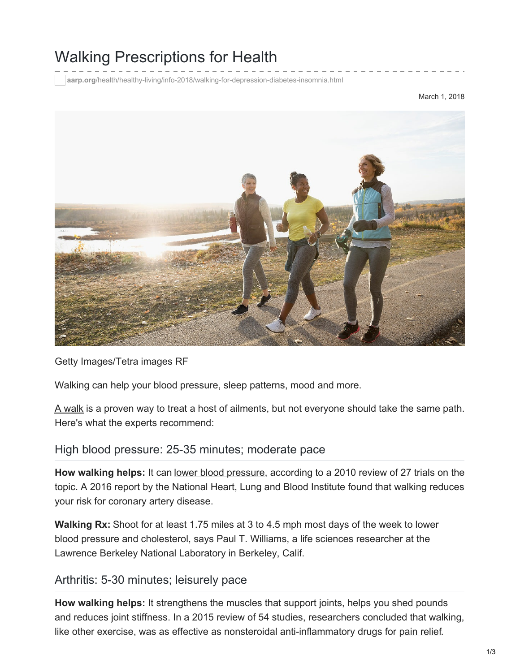# Walking Prescriptions for Health

**aarp.org**[/health/healthy-living/info-2018/walking-for-depression-diabetes-insomnia.html](https://www.aarp.org/health/healthy-living/info-2018/walking-for-depression-diabetes-insomnia.html)

March 1, 2018



Getty Images/Tetra images RF

Walking can help your blood pressure, sleep patterns, mood and more.

A [walk](https://www.aarp.org/health/healthy-living/info-2017/walking-meditation-helps-memory.html) is a proven way to treat a host of ailments, but not everyone should take the same path. Here's what the experts recommend:

#### High blood pressure: 25-35 minutes; moderate pace

**How walking helps:** It can lower blood [pressure,](https://www.aarp.org/health/conditions-treatments/info-2016/high-blood-pressure-hypertension.html) according to a 2010 review of 27 trials on the topic. A 2016 report by the National Heart, Lung and Blood Institute found that walking reduces your risk for coronary artery disease.

**Walking Rx:** Shoot for at least 1.75 miles at 3 to 4.5 mph most days of the week to lower blood pressure and cholesterol, says Paul T. Williams, a life sciences researcher at the Lawrence Berkeley National Laboratory in Berkeley, Calif.

#### Arthritis: 5-30 minutes; leisurely pace

**How walking helps:** It strengthens the muscles that support joints, helps you shed pounds and reduces joint stiffness. In a 2015 review of 54 studies, researchers concluded that walking, like other exercise, was as effective as nonsteroidal anti-inflammatory drugs for pain [relief](https://www.aarp.org/health/conditions-treatments/info-2015/how-to-control-pain.html).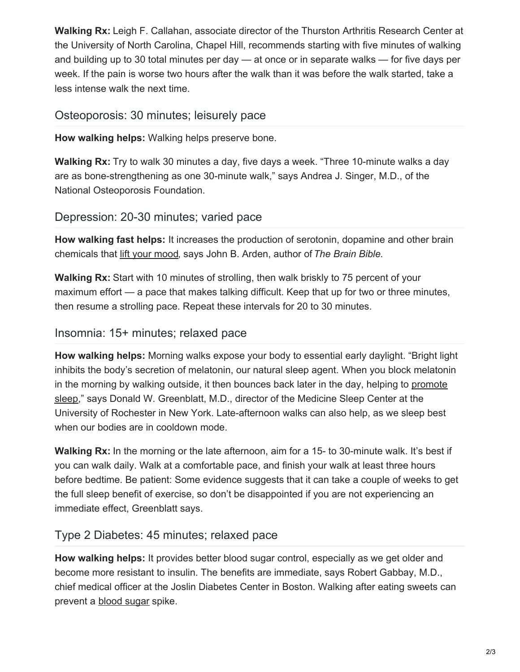**Walking Rx:** Leigh F. Callahan, associate director of the Thurston Arthritis Research Center at the University of North Carolina, Chapel Hill, recommends starting with five minutes of walking and building up to 30 total minutes per day — at once or in separate walks — for five days per week. If the pain is worse two hours after the walk than it was before the walk started, take a less intense walk the next time.

#### Osteoporosis: 30 minutes; leisurely pace

**How walking helps:** Walking helps preserve bone.

**Walking Rx:** Try to walk 30 minutes a day, five days a week. "Three 10-minute walks a day are as bone-strengthening as one 30-minute walk," says Andrea J. Singer, M.D., of the National Osteoporosis Foundation.

### Depression: 20-30 minutes; varied pace

**How walking fast helps:** It increases the production of serotonin, dopamine and other brain chemicals that lift your [mood](https://www.aarp.org/health/healthy-living/info-2017/quiz-walking-exercise-health-benefits.html), says John B. Arden, author of *The Brain Bible*.

**Walking Rx:** Start with 10 minutes of strolling, then walk briskly to 75 percent of your maximum effort — a pace that makes talking difficult. Keep that up for two or three minutes, then resume a strolling pace. Repeat these intervals for 20 to 30 minutes.

### Insomnia: 15+ minutes; relaxed pace

**How walking helps:** Morning walks expose your body to essential early daylight. "Bright light inhibits the body's secretion of melatonin, our natural sleep agent. When you block melatonin in the morning by walking outside, it then bounces back later in the day, helping to promote sleep," says Donald W. [Greenblatt,](https://www.aarp.org/health/healthy-living/info-2016/how-to-fall-asleep-fast-photo.html) M.D., director of the Medicine Sleep Center at the University of Rochester in New York. Late-afternoon walks can also help, as we sleep best when our bodies are in cooldown mode.

**Walking Rx:** In the morning or the late afternoon, aim for a 15- to 30-minute walk. It's best if you can walk daily. Walk at a comfortable pace, and finish your walk at least three hours before bedtime. Be patient: Some evidence suggests that it can take a couple of weeks to get the full sleep benefit of exercise, so don't be disappointed if you are not experiencing an immediate effect, Greenblatt says.

## Type 2 Diabetes: 45 minutes; relaxed pace

**How walking helps:** It provides better blood sugar control, especially as we get older and become more resistant to insulin. The benefits are immediate, says Robert Gabbay, M.D., chief medical officer at the Joslin Diabetes Center in Boston. Walking after eating sweets can prevent a [blood](https://www.aarp.org/health/video-health/info-2016/exercise-to-control-blood-sugar.html) sugar spike.